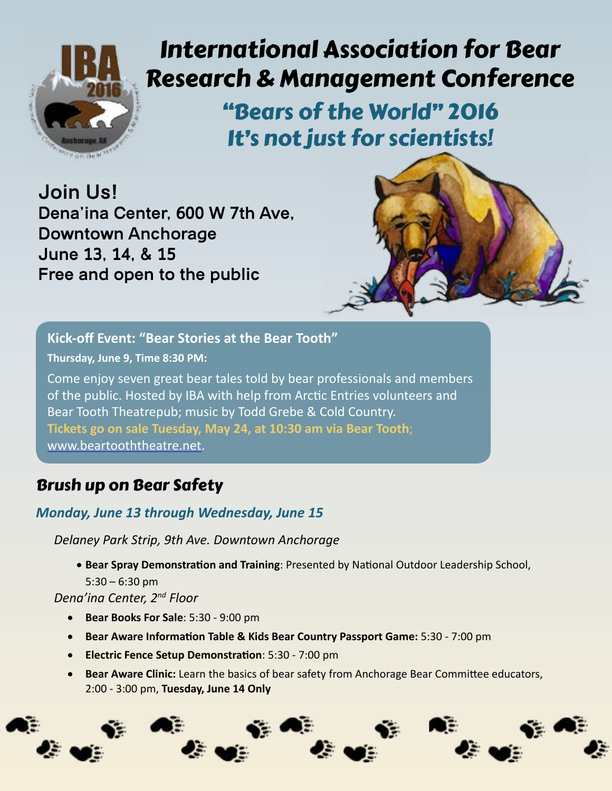

# International Association for Bear Research & Management Conference

"Bears of the World" 2016 It's not just for scientists!

**Join Us! Dena'ina Center, 600 W 7th Ave, Downtown Anchorage June 13, 14, & 15 Free and open to the public**



**Kick-off Event: "Bear Stories at the Bear Tooth" Thursday, June 9, Time 8:30 PM:** Come enjoy seven great bear tales told by bear professionals and members of the public. Hosted by IBA with help from Arctic Entries volunteers and Bear Tooth Theatrepub; music by Todd Grebe & Cold Country. **Tickets go on sale Tuesday, May 24, at 10:30 am via Bear Tooth**; [www.beartooththeatre.net.](http://www.beartooththeatre.net)

# Brush up on Bear Safety

### *Monday, June 13 through Wednesday, June 15*

*Delaney Park Strip, 9th Ave. Downtown Anchorage*

• **Bear Spray Demonstration and Training**: Presented by National Outdoor Leadership School,  $5:30 - 6:30$  pm

*Dena'ina Center, 2nd Floor*

- • **Bear Books For Sale**: 5:30 9:00 pm
- • **Bear Aware Information Table & Kids Bear Country Passport Game:** 5:30 7:00 pm
- • **Electric Fence Setup Demonstration**: 5:30 7:00 pm
- • **Bear Aware Clinic:** Learn the basics of bear safety from Anchorage Bear Committee educators, 2:00 - 3:00 pm, **Tuesday, June 14 Only**